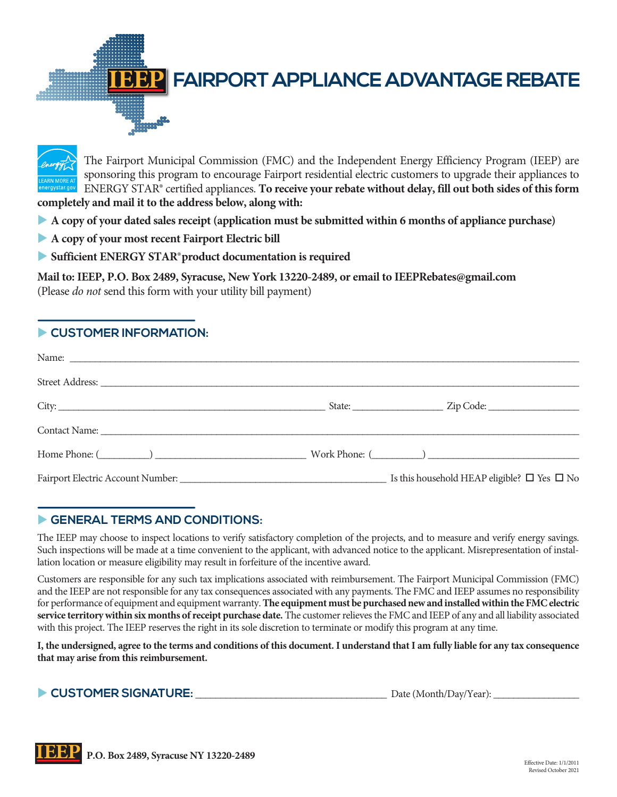**FAIRPORT APPLIANCE ADVANTAGE REBATE** 



The Fairport Municipal Commission (FMC) and the Independent Energy Efficiency Program (IEEP) are sponsoring this program to encourage Fairport residential electric customers to upgrade their appliances to ENERGY STAR® certified appliances. **To receive your rebate without delay, fill out both sides of this form completely and mail it to the address below, along with:**

- u **A copy of your dated sales receipt (application must be submitted within 6 months of appliance purchase)**
- **A copy of your most recent Fairport Electric bill**
- u **Sufficient ENERGY STAR® product documentation is required**

**Mail to: IEEP, P.O. Box 2489, Syracuse, New York 13220-2489, or email to IEEPRebates@gmail.com** (Please *do not* send this form with your utility bill payment)

## **EXPLOMER INFORMATION:**

## GENERAL TERMS AND CONDITIONS:

The IEEP may choose to inspect locations to verify satisfactory completion of the projects, and to measure and verify energy savings. Such inspections will be made at a time convenient to the applicant, with advanced notice to the applicant. Misrepresentation of installation location or measure eligibility may result in forfeiture of the incentive award.

Customers are responsible for any such tax implications associated with reimbursement. The Fairport Municipal Commission (FMC) and the IEEP are not responsible for any tax consequences associated with any payments. The FMC and IEEP assumes no responsibility for performance of equipment and equipment warranty. **The equipment must be purchased new and installed within the FMC electric service territory within six months of receipt purchase date.** The customer relieves the FMC and IEEP of any and all liability associated with this project. The IEEP reserves the right in its sole discretion to terminate or modify this program at any time.

**I, the undersigned, agree to the terms and conditions of this document. I understand that I am fully liable for any tax consequence that may arise from this reimbursement.**

u **CUSTOMER SIGNATURE:** \_\_\_\_\_\_\_\_\_\_\_\_\_\_\_\_\_\_\_\_\_\_\_\_\_\_\_\_\_\_\_\_\_\_\_\_\_\_ Date (Month/Day/Year): \_\_\_\_\_\_\_\_\_\_\_\_\_\_\_\_\_